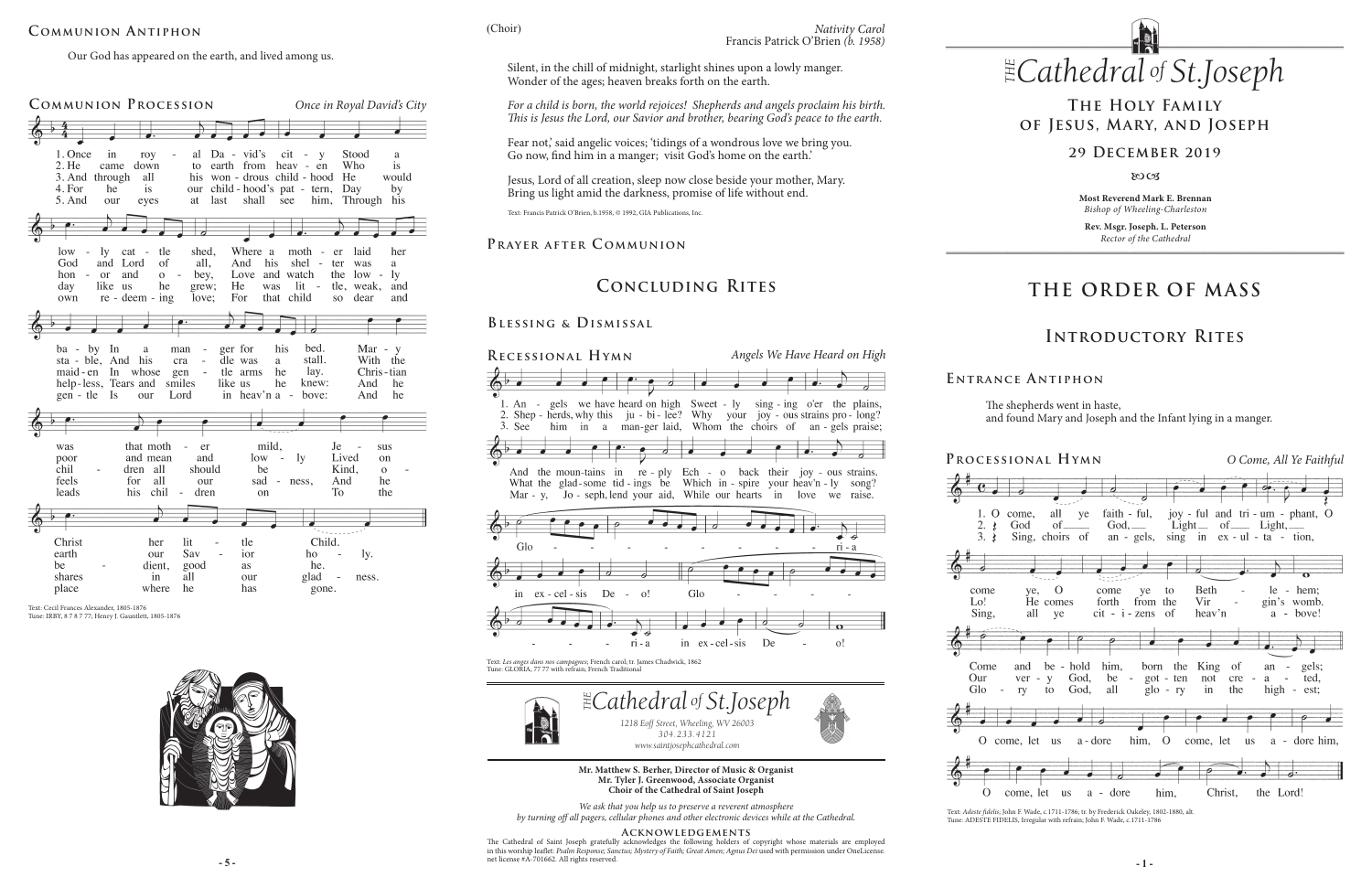# **THE ORDER OF MASS**

## **Introductory Rites**

## **The Holy Family of Jesus, Mary, and Joseph**

### **29 December 2019**

 $80C<sub>3</sub>$ 

## **Concluding Rites**

### **Prayer after C ommunion**

### **Blessing & Dismissal**

Text: *Adeste fidelis*; John F. Wade, c.1711-1786; tr. by Frederick Oakeley, 1802-1880, alt. Tune: ADESTE FIDELIS, Irregular with refrain; John F. Wade, c.1711-1786

**Most Reverend Mark E. Brennan** *Bishop of Wheeling-Charleston*

**Rev. Msgr. Joseph. L. Peterson** *Rector of the Cathedral*

The shepherds went in haste, and found Mary and Joseph and the Infant lying in a manger.

| IONAL HYMN                                                                     |                           |                                                                                                          |                   | O Come, All Ye Faithful         |                                        |                    |                                          |  |
|--------------------------------------------------------------------------------|---------------------------|----------------------------------------------------------------------------------------------------------|-------------------|---------------------------------|----------------------------------------|--------------------|------------------------------------------|--|
|                                                                                |                           |                                                                                                          |                   |                                 |                                        |                    |                                          |  |
| come, all ye<br>God<br>Sing, choirs of an - gels, sing in ex - ul - ta - tion, |                           | faith - ful, joy - ful and tri - um - phant, O<br>$God, \_\_\_$ $Light \_\_$ of $\_\_\_$ Light, $\_\_\_$ |                   |                                 |                                        |                    |                                          |  |
|                                                                                |                           |                                                                                                          |                   |                                 |                                        |                    |                                          |  |
| $ye,$ O<br>He comes<br>all<br>ye                                               | come<br>forth             | ye<br>from<br>$cit - i - zens$                                                                           | to<br>the<br>- of | Beth<br>Vir<br>heav'n           |                                        |                    | $le - hem$<br>gin's womb.<br>$a - bove!$ |  |
|                                                                                |                           |                                                                                                          |                   |                                 |                                        |                    |                                          |  |
| be - hold<br>and<br>ver<br>V<br>$\sim$<br>to<br>ry                             | God,<br>be<br>all<br>God, | him, born the<br>$\overline{\phantom{a}}$                                                                |                   | got - ten not<br>$g$ lo - ry in | King of<br>cre<br>$\frac{1}{2}$<br>the | a a<br>high - est; | an - gels;<br>- ted,                     |  |
|                                                                                |                           |                                                                                                          |                   |                                 |                                        |                    |                                          |  |
| ne, let us a-dore                                                              |                           |                                                                                                          |                   |                                 | him, O come, let us                    |                    | a - dore him.                            |  |
|                                                                                |                           |                                                                                                          |                   |                                 |                                        |                    |                                          |  |
| come, let<br><b>us</b>                                                         | a - dore                  |                                                                                                          | him,              |                                 |                                        | Christ, the Lord!  |                                          |  |

**E ntrance A ntiphon**



Text: Cecil Frances Alexander, 1805-1876 Tune: IRBY, 8 7 8 7 77; Henry J. Gauntlett, 1805-1876





(Choir)

Our God has appeared on the earth, and lived among us.

## **Communion Antiphon**

Text: Francis Patrick O'Brien, b.1958, © 1992, GIA Publications, Inc.

Fear not,' said angelic voices; 'tidings of a wondrous love we bring you. Go now, find him in a manger; visit God's home on the earth.'

*304.233.4121 www.saintjosephcathedral.com*

#### *www.saintjosephcathedral.com* **Mr. Matthew S. Berher, Director of Music & Organist Mr. Tyler J. Greenwood, Associate Organist**

**Choir of the Cathedral of Saint Joseph**

*We ask that you help us to preserve a reverent atmosphere by turning off all pagers, cellular phones and other electronic devices while at the Cathedral.*

#### **Acknowledgements**

**- 5 - - 1 -** The Cathedral of Saint Joseph gratefully acknowledges the following holders of copyright whose materials are employed in this worship leaflet: Psalm Response; Sanctus; Mystery of Faith; Great Amen; Agnus Dei used with permission under OneLicense. net license #A-701662. All rights reserved.

## PROCESS

1. O  $2.3$  $3.1$ come  $Lo!$ Sing,



Come Our Glo



O con





Silent, in the chill of midnight, starlight shines upon a lowly manger. Wonder of the ages; heaven breaks forth on the earth.

*For a child is born, the world rejoices! Shepherds and angels proclaim his birth. This is Jesus the Lord, our Savior and brother, bearing God's peace to the earth.*

Jesus, Lord of all creation, sleep now close beside your mother, Mary. Bring us light amid the darkness, promise of life without end.